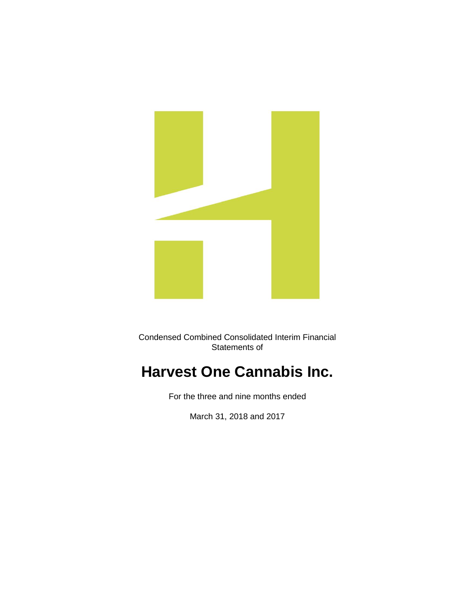

Condensed Combined Consolidated Interim Financial Statements of

# **Harvest One Cannabis Inc.**

For the three and nine months ended

March 31, 2018 and 2017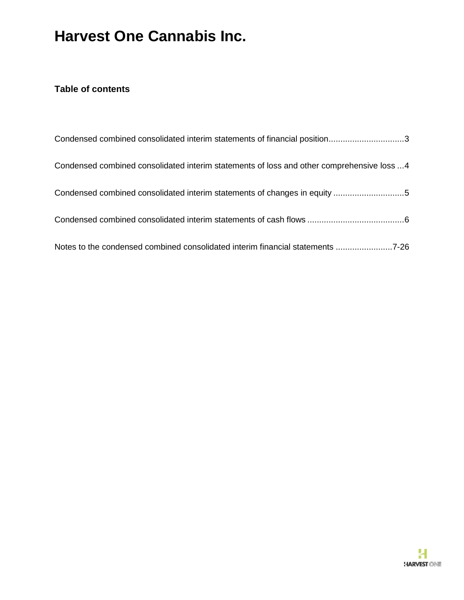### **Table of contents**

| Condensed combined consolidated interim statements of financial position3                 |
|-------------------------------------------------------------------------------------------|
| Condensed combined consolidated interim statements of loss and other comprehensive loss 4 |
|                                                                                           |
|                                                                                           |
| Notes to the condensed combined consolidated interim financial statements 7-26            |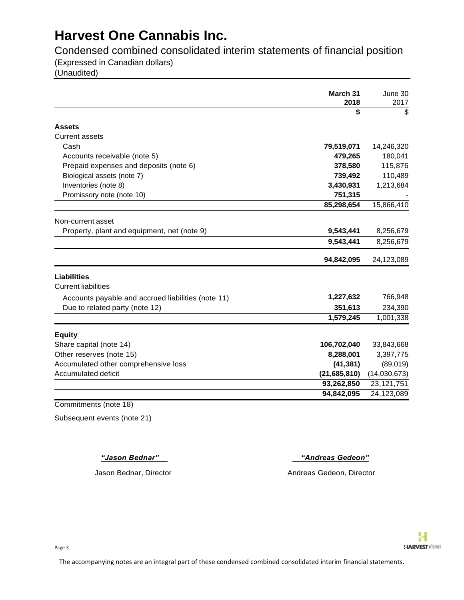Condensed combined consolidated interim statements of financial position

(Expressed in Canadian dollars)

(Unaudited)

|                                                    | March 31<br>2018 | June 30<br>2017 |
|----------------------------------------------------|------------------|-----------------|
|                                                    | \$               | \$              |
| <b>Assets</b>                                      |                  |                 |
| <b>Current assets</b>                              |                  |                 |
| Cash                                               | 79,519,071       | 14,246,320      |
| Accounts receivable (note 5)                       | 479,265          | 180,041         |
| Prepaid expenses and deposits (note 6)             | 378,580          | 115,876         |
| Biological assets (note 7)                         | 739,492          | 110,489         |
| Inventories (note 8)                               | 3,430,931        | 1,213,684       |
| Promissory note (note 10)                          | 751,315          |                 |
|                                                    | 85,298,654       | 15,866,410      |
| Non-current asset                                  |                  |                 |
| Property, plant and equipment, net (note 9)        | 9,543,441        | 8,256,679       |
|                                                    | 9,543,441        | 8,256,679       |
|                                                    | 94,842,095       | 24,123,089      |
|                                                    |                  |                 |
| <b>Liabilities</b><br><b>Current liabilities</b>   |                  |                 |
|                                                    |                  |                 |
| Accounts payable and accrued liabilities (note 11) | 1,227,632        | 766,948         |
| Due to related party (note 12)                     | 351,613          | 234,390         |
|                                                    | 1,579,245        | 1,001,338       |
| <b>Equity</b>                                      |                  |                 |
| Share capital (note 14)                            | 106,702,040      | 33,843,668      |
| Other reserves (note 15)                           | 8,288,001        | 3,397,775       |
| Accumulated other comprehensive loss               | (41, 381)        | (89,019)        |
| Accumulated deficit                                | (21,685,810)     | (14,030,673)    |
|                                                    | 93,262,850       | 23, 121, 751    |
|                                                    | 94,842,095       | 24,123,089      |

Commitments (note 18)

Subsequent events (note 21)

*"Jason Bednar" "Andreas Gedeon"*

Jason Bednar, Director **Andreas Gedeon, Director** Andreas Gedeon, Director

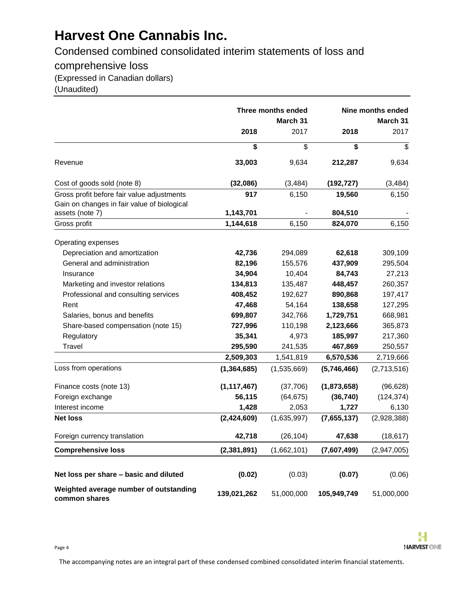Condensed combined consolidated interim statements of loss and

comprehensive loss

(Expressed in Canadian dollars)

(Unaudited)

|                                                         | Three months ended<br>March 31 |             |             | <b>Nine months ended</b><br>March 31 |
|---------------------------------------------------------|--------------------------------|-------------|-------------|--------------------------------------|
|                                                         | 2018                           | 2017        | 2018        | 2017                                 |
|                                                         | \$                             | \$          | \$          | \$                                   |
| Revenue                                                 | 33,003                         | 9,634       | 212,287     | 9,634                                |
| Cost of goods sold (note 8)                             | (32,086)                       | (3, 484)    | (192, 727)  | (3, 484)                             |
| Gross profit before fair value adjustments              | 917                            | 6,150       | 19,560      | 6,150                                |
| Gain on changes in fair value of biological             |                                |             |             |                                      |
| assets (note 7)                                         | 1,143,701                      |             | 804,510     |                                      |
| Gross profit                                            | 1,144,618                      | 6,150       | 824,070     | 6,150                                |
| Operating expenses                                      |                                |             |             |                                      |
| Depreciation and amortization                           | 42,736                         | 294,089     | 62,618      | 309,109                              |
| General and administration                              | 82,196                         | 155,576     | 437,909     | 295,504                              |
| Insurance                                               | 34,904                         | 10,404      | 84,743      | 27,213                               |
| Marketing and investor relations                        | 134,813                        | 135,487     | 448,457     | 260,357                              |
| Professional and consulting services                    | 408,452                        | 192,627     | 890,868     | 197,417                              |
| Rent                                                    | 47,468                         | 54,164      | 138,658     | 127,295                              |
| Salaries, bonus and benefits                            | 699,807                        | 342,766     | 1,729,751   | 668,981                              |
| Share-based compensation (note 15)                      | 727,996                        | 110,198     | 2,123,666   | 365,873                              |
| Regulatory                                              | 35,341                         | 4,973       | 185,997     | 217,360                              |
| Travel                                                  | 295,590                        | 241,535     | 467,869     | 250,557                              |
|                                                         | 2,509,303                      | 1,541,819   | 6,570,536   | 2,719,666                            |
| Loss from operations                                    | (1, 364, 685)                  | (1,535,669) | (5,746,466) | (2,713,516)                          |
| Finance costs (note 13)                                 | (1, 117, 467)                  | (37,706)    | (1,873,658) | (96, 628)                            |
| Foreign exchange                                        | 56,115                         | (64, 675)   | (36, 740)   | (124, 374)                           |
| Interest income                                         | 1,428                          | 2,053       | 1,727       | 6,130                                |
| <b>Net loss</b>                                         | (2,424,609)                    | (1,635,997) | (7,655,137) | (2,928,388)                          |
| Foreign currency translation                            | 42,718                         | (26, 104)   | 47,638      | (18, 617)                            |
| <b>Comprehensive loss</b>                               | (2, 381, 891)                  | (1,662,101) | (7,607,499) | (2,947,005)                          |
|                                                         |                                |             |             |                                      |
| Net loss per share - basic and diluted                  | (0.02)                         | (0.03)      | (0.07)      | (0.06)                               |
| Weighted average number of outstanding<br>common shares | 139,021,262                    | 51,000,000  | 105,949,749 | 51,000,000                           |

The accompanying notes are an integral part of these condensed combined consolidated interim financial statements.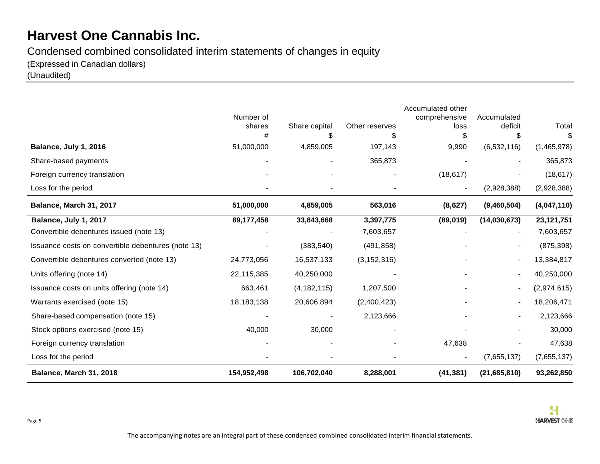### Condensed combined consolidated interim statements of changes in equity

(Expressed in Canadian dollars)

(Unaudited)

|                                                    |              |               |                | Accumulated other |                          |              |
|----------------------------------------------------|--------------|---------------|----------------|-------------------|--------------------------|--------------|
|                                                    | Number of    |               |                | comprehensive     | Accumulated              |              |
|                                                    | shares       | Share capital | Other reserves | loss              | deficit                  | Total        |
|                                                    | #            | \$            | \$             | \$                | \$                       | \$           |
| Balance, July 1, 2016                              | 51,000,000   | 4,859,005     | 197,143        | 9,990             | (6,532,116)              | (1,465,978)  |
| Share-based payments                               |              |               | 365,873        |                   |                          | 365,873      |
| Foreign currency translation                       |              |               |                | (18, 617)         |                          | (18, 617)    |
| Loss for the period                                |              |               |                |                   | (2,928,388)              | (2,928,388)  |
| Balance, March 31, 2017                            | 51,000,000   | 4,859,005     | 563,016        | (8,627)           | (9,460,504)              | (4,047,110)  |
| Balance, July 1, 2017                              | 89,177,458   | 33,843,668    | 3,397,775      | (89, 019)         | (14,030,673)             | 23, 121, 751 |
| Convertible debentures issued (note 13)            |              |               | 7,603,657      |                   |                          | 7,603,657    |
| Issuance costs on convertible debentures (note 13) |              | (383, 540)    | (491, 858)     |                   | $\overline{\phantom{a}}$ | (875, 398)   |
| Convertible debentures converted (note 13)         | 24,773,056   | 16,537,133    | (3, 152, 316)  |                   | $\overline{\phantom{a}}$ | 13,384,817   |
| Units offering (note 14)                           | 22,115,385   | 40,250,000    |                |                   |                          | 40,250,000   |
| Issuance costs on units offering (note 14)         | 663,461      | (4, 182, 115) | 1,207,500      |                   |                          | (2,974,615)  |
| Warrants exercised (note 15)                       | 18, 183, 138 | 20,606,894    | (2,400,423)    |                   |                          | 18,206,471   |
| Share-based compensation (note 15)                 |              |               | 2,123,666      |                   |                          | 2,123,666    |
| Stock options exercised (note 15)                  | 40,000       | 30,000        |                |                   |                          | 30,000       |
| Foreign currency translation                       |              |               |                | 47,638            |                          | 47,638       |
| Loss for the period                                |              |               |                |                   | (7,655,137)              | (7,655,137)  |
| Balance, March 31, 2018                            | 154,952,498  | 106,702,040   | 8,288,001      | (41, 381)         | (21,685,810)             | 93,262,850   |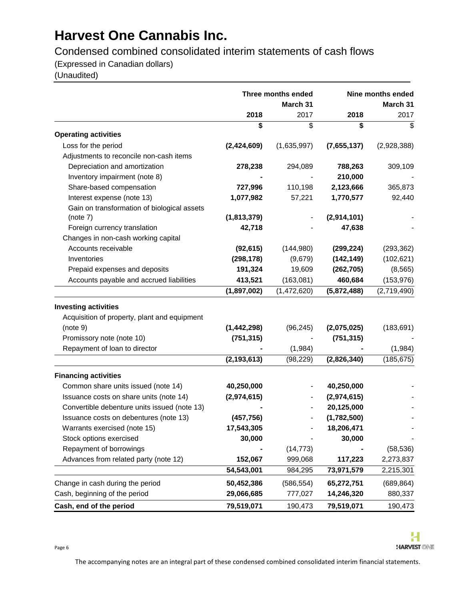Condensed combined consolidated interim statements of cash flows

(Expressed in Canadian dollars)

(Unaudited)

|                                              | Three months ended<br>March 31 |               |             | Nine months ended<br>March 31 |
|----------------------------------------------|--------------------------------|---------------|-------------|-------------------------------|
|                                              | 2018                           | 2017          | 2018        | 2017                          |
|                                              | \$                             | \$            | \$          | \$                            |
| <b>Operating activities</b>                  |                                |               |             |                               |
| Loss for the period                          | (2,424,609)                    | (1,635,997)   | (7,655,137) | (2,928,388)                   |
| Adjustments to reconcile non-cash items      |                                |               |             |                               |
| Depreciation and amortization                | 278,238                        | 294,089       | 788,263     | 309,109                       |
| Inventory impairment (note 8)                |                                |               | 210,000     |                               |
| Share-based compensation                     | 727,996                        | 110,198       | 2,123,666   | 365,873                       |
| Interest expense (note 13)                   | 1,077,982                      | 57,221        | 1,770,577   | 92,440                        |
| Gain on transformation of biological assets  |                                |               |             |                               |
| (note 7)                                     | (1,813,379)                    |               | (2,914,101) |                               |
| Foreign currency translation                 | 42,718                         |               | 47,638      |                               |
| Changes in non-cash working capital          |                                |               |             |                               |
| Accounts receivable                          | (92, 615)                      | (144,980)     | (299, 224)  | (293, 362)                    |
| Inventories                                  | (298, 178)                     | (9,679)       | (142, 149)  | (102, 621)                    |
| Prepaid expenses and deposits                | 191,324                        | 19,609        | (262, 705)  | (8, 565)                      |
| Accounts payable and accrued liabilities     | 413,521                        | (163,081)     | 460,684     | (153, 976)                    |
|                                              | (1,897,002)                    | (1, 472, 620) | (5,872,488) | (2,719,490)                   |
| <b>Investing activities</b>                  |                                |               |             |                               |
| Acquisition of property, plant and equipment |                                |               |             |                               |
| (note 9)                                     | (1, 442, 298)                  | (96, 245)     | (2,075,025) | (183, 691)                    |
| Promissory note (note 10)                    | (751, 315)                     |               | (751, 315)  |                               |
| Repayment of loan to director                |                                | (1,984)       |             | (1,984)                       |
|                                              | (2, 193, 613)                  | (98, 229)     | (2,826,340) | (185, 675)                    |
|                                              |                                |               |             |                               |
| <b>Financing activities</b>                  |                                |               |             |                               |
| Common share units issued (note 14)          | 40,250,000                     |               | 40,250,000  |                               |
| Issuance costs on share units (note 14)      | (2,974,615)                    |               | (2,974,615) |                               |
| Convertible debenture units issued (note 13) |                                |               | 20,125,000  |                               |
| Issuance costs on debentures (note 13)       | (457, 756)                     |               | (1,782,500) |                               |
| Warrants exercised (note 15)                 | 17,543,305                     |               | 18,206,471  |                               |
| Stock options exercised                      | 30,000                         |               | 30,000      |                               |
| Repayment of borrowings                      |                                | (14, 773)     |             | (58, 536)                     |
| Advances from related party (note 12)        | 152,067                        | 999,068       | 117,223     | 2,273,837                     |
|                                              | 54,543,001                     | 984,295       | 73,971,579  | 2,215,301                     |
| Change in cash during the period             | 50,452,386                     | (586, 554)    | 65,272,751  | (689, 864)                    |
| Cash, beginning of the period                | 29,066,685                     | 777,027       | 14,246,320  | 880,337                       |
| Cash, end of the period                      | 79,519,071                     | 190,473       | 79,519,071  | 190,473                       |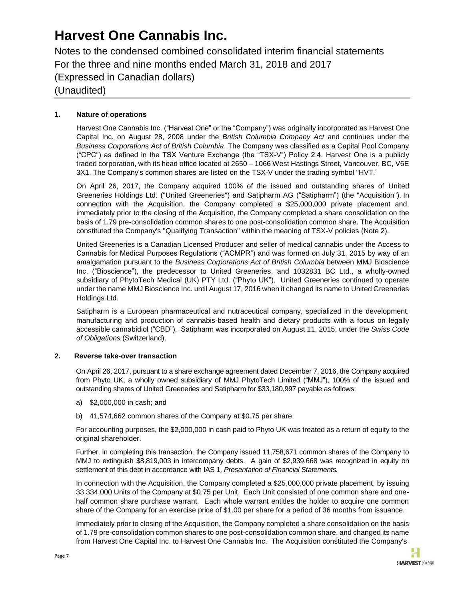Notes to the condensed combined consolidated interim financial statements For the three and nine months ended March 31, 2018 and 2017 (Expressed in Canadian dollars) (Unaudited)

### **1. Nature of operations**

Harvest One Cannabis Inc. ("Harvest One" or the "Company") was originally incorporated as Harvest One Capital Inc. on August 28, 2008 under the *British Columbia Company Act* and continues under the *Business Corporations Act of British Columbia*. The Company was classified as a Capital Pool Company ("CPC") as defined in the TSX Venture Exchange (the "TSX-V") Policy 2.4. Harvest One is a publicly traded corporation, with its head office located at 2650 – 1066 West Hastings Street, Vancouver, BC, V6E 3X1. The Company's common shares are listed on the TSX-V under the trading symbol "HVT."

On April 26, 2017, the Company acquired 100% of the issued and outstanding shares of United Greeneries Holdings Ltd. ("United Greeneries") and Satipharm AG ("Satipharm") (the "Acquisition"). In connection with the Acquisition, the Company completed a \$25,000,000 private placement and, immediately prior to the closing of the Acquisition, the Company completed a share consolidation on the basis of 1.79 pre-consolidation common shares to one post-consolidation common share. The Acquisition constituted the Company's "Qualifying Transaction" within the meaning of TSX-V policies (Note 2).

United Greeneries is a Canadian Licensed Producer and seller of medical cannabis under the Access to Cannabis for Medical Purposes Regulations ("ACMPR") and was formed on July 31, 2015 by way of an amalgamation pursuant to the *Business Corporations Act of British Columbia* between MMJ Bioscience Inc. ("Bioscience"), the predecessor to United Greeneries, and 1032831 BC Ltd., a wholly-owned subsidiary of PhytoTech Medical (UK) PTY Ltd. ("Phyto UK"). United Greeneries continued to operate under the name MMJ Bioscience Inc. until August 17, 2016 when it changed its name to United Greeneries Holdings Ltd.

Satipharm is a European pharmaceutical and nutraceutical company, specialized in the development, manufacturing and production of cannabis-based health and dietary products with a focus on legally accessible cannabidiol ("CBD"). Satipharm was incorporated on August 11, 2015, under the *Swiss Code of Obligations* (Switzerland).

### **2. Reverse take-over transaction**

On April 26, 2017, pursuant to a share exchange agreement dated December 7, 2016, the Company acquired from Phyto UK, a wholly owned subsidiary of MMJ PhytoTech Limited ("MMJ"), 100% of the issued and outstanding shares of United Greeneries and Satipharm for \$33,180,997 payable as follows:

- a) \$2,000,000 in cash; and
- b) 41,574,662 common shares of the Company at \$0.75 per share.

For accounting purposes, the \$2,000,000 in cash paid to Phyto UK was treated as a return of equity to the original shareholder.

Further, in completing this transaction, the Company issued 11,758,671 common shares of the Company to MMJ to extinguish \$8,819,003 in intercompany debts. A gain of \$2,939,668 was recognized in equity on settlement of this debt in accordance with IAS 1*, Presentation of Financial Statements.*

In connection with the Acquisition, the Company completed a \$25,000,000 private placement, by issuing 33,334,000 Units of the Company at \$0.75 per Unit. Each Unit consisted of one common share and onehalf common share purchase warrant. Each whole warrant entitles the holder to acquire one common share of the Company for an exercise price of \$1.00 per share for a period of 36 months from issuance.

Immediately prior to closing of the Acquisition, the Company completed a share consolidation on the basis of 1.79 pre-consolidation common shares to one post-consolidation common share, and changed its name from Harvest One Capital Inc. to Harvest One Cannabis Inc. The Acquisition constituted the Company's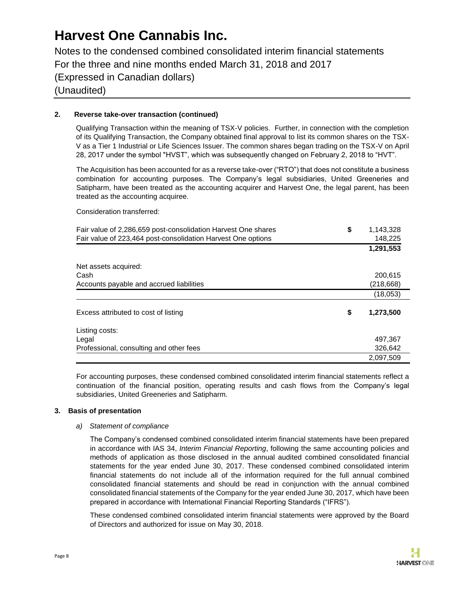Notes to the condensed combined consolidated interim financial statements For the three and nine months ended March 31, 2018 and 2017 (Expressed in Canadian dollars) (Unaudited)

### **2. Reverse take-over transaction (continued)**

Qualifying Transaction within the meaning of TSX-V policies. Further, in connection with the completion of its Qualifying Transaction, the Company obtained final approval to list its common shares on the TSX-V as a Tier 1 Industrial or Life Sciences Issuer. The common shares began trading on the TSX-V on April 28, 2017 under the symbol "HVST", which was subsequently changed on February 2, 2018 to "HVT".

The Acquisition has been accounted for as a reverse take-over ("RTO") that does not constitute a business combination for accounting purposes. The Company's legal subsidiaries, United Greeneries and Satipharm, have been treated as the accounting acquirer and Harvest One, the legal parent, has been treated as the accounting acquiree.

Consideration transferred:

| Fair value of 2,286,659 post-consolidation Harvest One shares<br>Fair value of 223,464 post-consolidation Harvest One options | \$<br>1,143,328<br>148,225 |
|-------------------------------------------------------------------------------------------------------------------------------|----------------------------|
|                                                                                                                               | 1,291,553                  |
| Net assets acquired:                                                                                                          |                            |
| Cash                                                                                                                          | 200,615                    |
| Accounts payable and accrued liabilities                                                                                      | (218, 668)                 |
|                                                                                                                               | (18,053)                   |
| Excess attributed to cost of listing                                                                                          | \$<br>1,273,500            |
| Listing costs:                                                                                                                |                            |
| Legal                                                                                                                         | 497,367                    |
| Professional, consulting and other fees                                                                                       | 326,642                    |
|                                                                                                                               | 2,097,509                  |

For accounting purposes, these condensed combined consolidated interim financial statements reflect a continuation of the financial position, operating results and cash flows from the Company's legal subsidiaries, United Greeneries and Satipharm.

### **3. Basis of presentation**

#### *a) Statement of compliance*

The Company's condensed combined consolidated interim financial statements have been prepared in accordance with IAS 34, *Interim Financial Reporting*, following the same accounting policies and methods of application as those disclosed in the annual audited combined consolidated financial statements for the year ended June 30, 2017. These condensed combined consolidated interim financial statements do not include all of the information required for the full annual combined consolidated financial statements and should be read in conjunction with the annual combined consolidated financial statements of the Company for the year ended June 30, 2017, which have been prepared in accordance with International Financial Reporting Standards ("IFRS").

These condensed combined consolidated interim financial statements were approved by the Board of Directors and authorized for issue on May 30, 2018.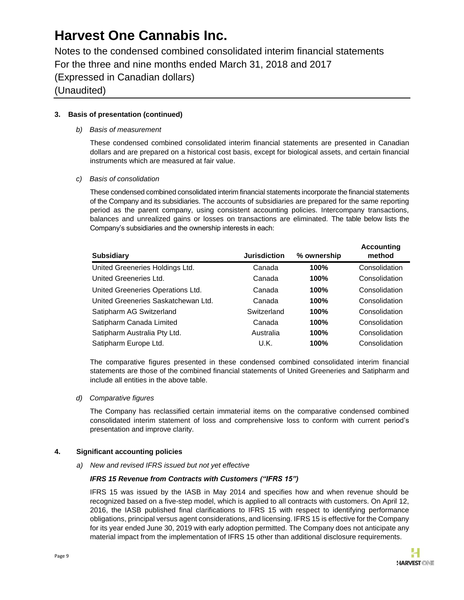Notes to the condensed combined consolidated interim financial statements For the three and nine months ended March 31, 2018 and 2017 (Expressed in Canadian dollars) (Unaudited)

### **3. Basis of presentation (continued)**

### *b) Basis of measurement*

These condensed combined consolidated interim financial statements are presented in Canadian dollars and are prepared on a historical cost basis, except for biological assets, and certain financial instruments which are measured at fair value.

### *c) Basis of consolidation*

These condensed combined consolidated interim financial statements incorporate the financial statements of the Company and its subsidiaries. The accounts of subsidiaries are prepared for the same reporting period as the parent company, using consistent accounting policies. Intercompany transactions, balances and unrealized gains or losses on transactions are eliminated. The table below lists the Company's subsidiaries and the ownership interests in each:

| <b>Subsidiary</b>                   | <b>Jurisdiction</b> | % ownership | <b>Accounting</b><br>method |
|-------------------------------------|---------------------|-------------|-----------------------------|
| United Greeneries Holdings Ltd.     | Canada              | 100%        | Consolidation               |
| United Greeneries Ltd.              | Canada              | 100%        | Consolidation               |
| United Greeneries Operations Ltd.   | Canada              | 100%        | Consolidation               |
| United Greeneries Saskatchewan Ltd. | Canada              | 100%        | Consolidation               |
| Satipharm AG Switzerland            | Switzerland         | 100%        | Consolidation               |
| Satipharm Canada Limited            | Canada              | 100%        | Consolidation               |
| Satipharm Australia Pty Ltd.        | Australia           | 100%        | Consolidation               |
| Satipharm Europe Ltd.               | U.K.                | 100%        | Consolidation               |

The comparative figures presented in these condensed combined consolidated interim financial statements are those of the combined financial statements of United Greeneries and Satipharm and include all entities in the above table.

#### *d) Comparative figures*

The Company has reclassified certain immaterial items on the comparative condensed combined consolidated interim statement of loss and comprehensive loss to conform with current period's presentation and improve clarity.

### **4. Significant accounting policies**

*a) New and revised IFRS issued but not yet effective*

### *IFRS 15 Revenue from Contracts with Customers ("IFRS 15")*

IFRS 15 was issued by the IASB in May 2014 and specifies how and when revenue should be recognized based on a five-step model, which is applied to all contracts with customers. On April 12, 2016, the IASB published final clarifications to IFRS 15 with respect to identifying performance obligations, principal versus agent considerations, and licensing. IFRS 15 is effective for the Company for its year ended June 30, 2019 with early adoption permitted. The Company does not anticipate any material impact from the implementation of IFRS 15 other than additional disclosure requirements.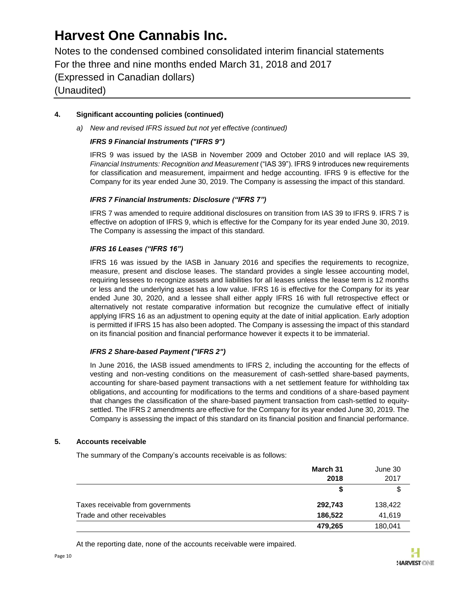Notes to the condensed combined consolidated interim financial statements For the three and nine months ended March 31, 2018 and 2017 (Expressed in Canadian dollars) (Unaudited)

### **4. Significant accounting policies (continued)**

*a) New and revised IFRS issued but not yet effective (continued)*

### *IFRS 9 Financial Instruments ("IFRS 9")*

IFRS 9 was issued by the IASB in November 2009 and October 2010 and will replace IAS 39, *Financial Instruments: Recognition and Measurement* ("IAS 39"). IFRS 9 introduces new requirements for classification and measurement, impairment and hedge accounting. IFRS 9 is effective for the Company for its year ended June 30, 2019. The Company is assessing the impact of this standard.

### *IFRS 7 Financial Instruments: Disclosure ("IFRS 7")*

IFRS 7 was amended to require additional disclosures on transition from IAS 39 to IFRS 9. IFRS 7 is effective on adoption of IFRS 9, which is effective for the Company for its year ended June 30, 2019. The Company is assessing the impact of this standard.

### *IFRS 16 Leases ("IFRS 16")*

IFRS 16 was issued by the IASB in January 2016 and specifies the requirements to recognize, measure, present and disclose leases. The standard provides a single lessee accounting model, requiring lessees to recognize assets and liabilities for all leases unless the lease term is 12 months or less and the underlying asset has a low value. IFRS 16 is effective for the Company for its year ended June 30, 2020, and a lessee shall either apply IFRS 16 with full retrospective effect or alternatively not restate comparative information but recognize the cumulative effect of initially applying IFRS 16 as an adjustment to opening equity at the date of initial application. Early adoption is permitted if IFRS 15 has also been adopted. The Company is assessing the impact of this standard on its financial position and financial performance however it expects it to be immaterial.

### *IFRS 2 Share-based Payment ("IFRS 2")*

In June 2016, the IASB issued amendments to IFRS 2, including the accounting for the effects of vesting and non-vesting conditions on the measurement of cash-settled share-based payments, accounting for share-based payment transactions with a net settlement feature for withholding tax obligations, and accounting for modifications to the terms and conditions of a share-based payment that changes the classification of the share-based payment transaction from cash-settled to equitysettled. The IFRS 2 amendments are effective for the Company for its year ended June 30, 2019. The Company is assessing the impact of this standard on its financial position and financial performance.

### **5. Accounts receivable**

The summary of the Company's accounts receivable is as follows:

|                                   | March 31<br>2018 | June 30<br>2017 |
|-----------------------------------|------------------|-----------------|
|                                   |                  | S               |
| Taxes receivable from governments | 292,743          | 138,422         |
| Trade and other receivables       | 186,522          | 41,619          |
|                                   | 479,265          | 180,041         |

At the reporting date, none of the accounts receivable were impaired.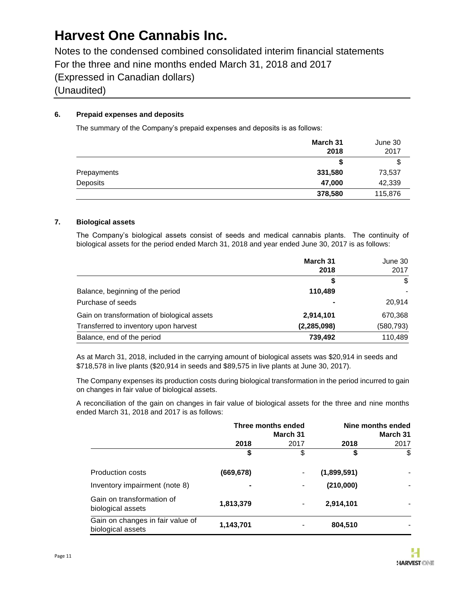Notes to the condensed combined consolidated interim financial statements For the three and nine months ended March 31, 2018 and 2017 (Expressed in Canadian dollars) (Unaudited)

### **6. Prepaid expenses and deposits**

The summary of the Company's prepaid expenses and deposits is as follows:

|             | March 31<br>2018 | June 30<br>2017 |
|-------------|------------------|-----------------|
|             |                  | \$              |
| Prepayments | 331,580          | 73,537          |
| Deposits    | 47,000           | 42,339          |
|             | 378,580          | 115,876         |

### **7. Biological assets**

The Company's biological assets consist of seeds and medical cannabis plants. The continuity of biological assets for the period ended March 31, 2018 and year ended June 30, 2017 is as follows:

|                                             | March 31<br>2018 | June 30<br>2017 |
|---------------------------------------------|------------------|-----------------|
|                                             | S                | \$              |
| Balance, beginning of the period            | 110,489          |                 |
| Purchase of seeds                           |                  | 20,914          |
| Gain on transformation of biological assets | 2,914,101        | 670,368         |
| Transferred to inventory upon harvest       | (2, 285, 098)    | (580, 793)      |
| Balance, end of the period                  | 739,492          | 110,489         |

As at March 31, 2018, included in the carrying amount of biological assets was \$20,914 in seeds and \$718,578 in live plants (\$20,914 in seeds and \$89,575 in live plants at June 30, 2017).

The Company expenses its production costs during biological transformation in the period incurred to gain on changes in fair value of biological assets.

A reconciliation of the gain on changes in fair value of biological assets for the three and nine months ended March 31, 2018 and 2017 is as follows:

|                                                       | Three months ended<br>March 31 |                |             | Nine months ended<br>March 31 |
|-------------------------------------------------------|--------------------------------|----------------|-------------|-------------------------------|
|                                                       | 2018                           | 2017           | 2018        | 2017                          |
|                                                       | \$                             | \$             | \$          | \$                            |
| <b>Production costs</b>                               | (669,678)                      |                | (1,899,591) |                               |
| Inventory impairment (note 8)                         |                                |                | (210,000)   |                               |
| Gain on transformation of<br>biological assets        | 1,813,379                      | $\blacksquare$ | 2,914,101   |                               |
| Gain on changes in fair value of<br>biological assets | 1,143,701                      |                | 804,510     |                               |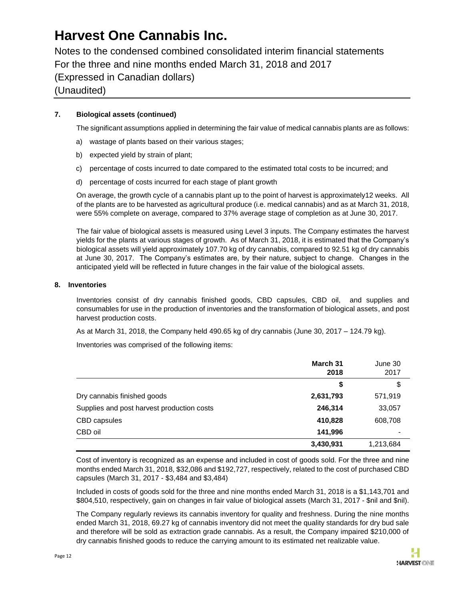Notes to the condensed combined consolidated interim financial statements For the three and nine months ended March 31, 2018 and 2017 (Expressed in Canadian dollars) (Unaudited)

### **7. Biological assets (continued)**

The significant assumptions applied in determining the fair value of medical cannabis plants are as follows:

- a) wastage of plants based on their various stages;
- b) expected yield by strain of plant;
- c) percentage of costs incurred to date compared to the estimated total costs to be incurred; and
- d) percentage of costs incurred for each stage of plant growth

On average, the growth cycle of a cannabis plant up to the point of harvest is approximately12 weeks. All of the plants are to be harvested as agricultural produce (i.e. medical cannabis) and as at March 31, 2018, were 55% complete on average, compared to 37% average stage of completion as at June 30, 2017.

The fair value of biological assets is measured using Level 3 inputs. The Company estimates the harvest yields for the plants at various stages of growth. As of March 31, 2018, it is estimated that the Company's biological assets will yield approximately 107.70 kg of dry cannabis, compared to 92.51 kg of dry cannabis at June 30, 2017. The Company's estimates are, by their nature, subject to change. Changes in the anticipated yield will be reflected in future changes in the fair value of the biological assets.

### **8. Inventories**

Inventories consist of dry cannabis finished goods, CBD capsules, CBD oil, and supplies and consumables for use in the production of inventories and the transformation of biological assets, and post harvest production costs.

As at March 31, 2018, the Company held 490.65 kg of dry cannabis (June 30, 2017 – 124.79 kg).

Inventories was comprised of the following items:

|                                            | March 31<br>2018 | June 30<br>2017 |
|--------------------------------------------|------------------|-----------------|
|                                            | \$               | \$              |
| Dry cannabis finished goods                | 2,631,793        | 571,919         |
| Supplies and post harvest production costs | 246,314          | 33,057          |
| CBD capsules                               | 410,828          | 608,708         |
| CBD oil                                    | 141,996          |                 |
|                                            | 3,430,931        | 1,213,684       |

Cost of inventory is recognized as an expense and included in cost of goods sold. For the three and nine months ended March 31, 2018, \$32,086 and \$192,727, respectively, related to the cost of purchased CBD capsules (March 31, 2017 - \$3,484 and \$3,484)

Included in costs of goods sold for the three and nine months ended March 31, 2018 is a \$1,143,701 and \$804,510, respectively, gain on changes in fair value of biological assets (March 31, 2017 - \$nil and \$nil).

The Company regularly reviews its cannabis inventory for quality and freshness. During the nine months ended March 31, 2018, 69.27 kg of cannabis inventory did not meet the quality standards for dry bud sale and therefore will be sold as extraction grade cannabis. As a result, the Company impaired \$210,000 of dry cannabis finished goods to reduce the carrying amount to its estimated net realizable value.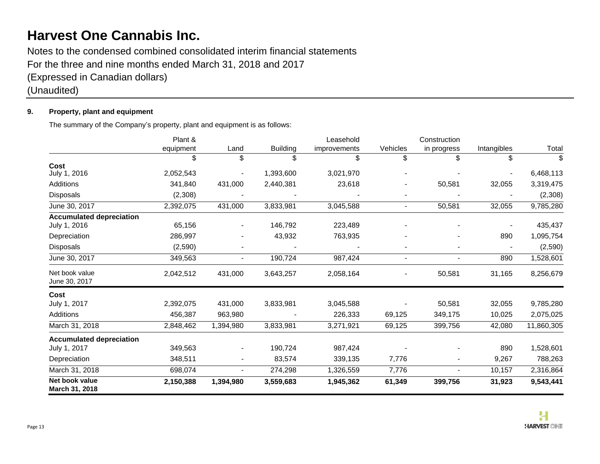Notes to the condensed combined consolidated interim financial statements For the three and nine months ended March 31, 2018 and 2017 (Expressed in Canadian dollars)

(Unaudited)

### **9. Property, plant and equipment**

The summary of the Company's property, plant and equipment is as follows:

|                                  | Plant &   |                |                 | Leasehold    |                          | Construction             |             |            |
|----------------------------------|-----------|----------------|-----------------|--------------|--------------------------|--------------------------|-------------|------------|
|                                  | equipment | Land           | <b>Building</b> | improvements | Vehicles                 | in progress              | Intangibles | Total      |
|                                  | \$        | \$             | \$              | \$           | \$                       | \$                       | \$          | \$         |
| Cost<br>July 1, 2016             | 2,052,543 |                | 1,393,600       | 3,021,970    |                          |                          |             | 6,468,113  |
| Additions                        | 341,840   | 431,000        | 2,440,381       | 23,618       |                          | 50,581                   | 32,055      | 3,319,475  |
| Disposals                        | (2,308)   |                |                 |              |                          |                          |             | (2,308)    |
| June 30, 2017                    | 2,392,075 | 431,000        | 3,833,981       | 3,045,588    | $\sim$                   | 50,581                   | 32,055      | 9,785,280  |
| <b>Accumulated depreciation</b>  |           |                |                 |              |                          |                          |             |            |
| July 1, 2016                     | 65,156    |                | 146,792         | 223,489      |                          |                          |             | 435,437    |
| Depreciation                     | 286,997   |                | 43,932          | 763,935      |                          |                          | 890         | 1,095,754  |
| Disposals                        | (2,590)   |                |                 |              |                          | $\overline{\phantom{0}}$ |             | (2,590)    |
| June 30, 2017                    | 349,563   | $\blacksquare$ | 190,724         | 987,424      | $\overline{\phantom{0}}$ | $\blacksquare$           | 890         | 1,528,601  |
| Net book value<br>June 30, 2017  | 2,042,512 | 431,000        | 3,643,257       | 2,058,164    |                          | 50,581                   | 31,165      | 8,256,679  |
| Cost                             |           |                |                 |              |                          |                          |             |            |
| July 1, 2017                     | 2,392,075 | 431,000        | 3,833,981       | 3,045,588    |                          | 50,581                   | 32,055      | 9,785,280  |
| Additions                        | 456,387   | 963,980        |                 | 226,333      | 69,125                   | 349,175                  | 10,025      | 2,075,025  |
| March 31, 2018                   | 2,848,462 | 1,394,980      | 3,833,981       | 3,271,921    | 69,125                   | 399,756                  | 42,080      | 11,860,305 |
| <b>Accumulated depreciation</b>  |           |                |                 |              |                          |                          |             |            |
| July 1, 2017                     | 349,563   |                | 190,724         | 987,424      |                          |                          | 890         | 1,528,601  |
| Depreciation                     | 348,511   |                | 83,574          | 339,135      | 7,776                    |                          | 9,267       | 788,263    |
| March 31, 2018                   | 698,074   |                | 274,298         | 1,326,559    | 7,776                    | $\overline{a}$           | 10,157      | 2,316,864  |
| Net book value<br>March 31, 2018 | 2,150,388 | 1,394,980      | 3,559,683       | 1,945,362    | 61,349                   | 399,756                  | 31,923      | 9,543,441  |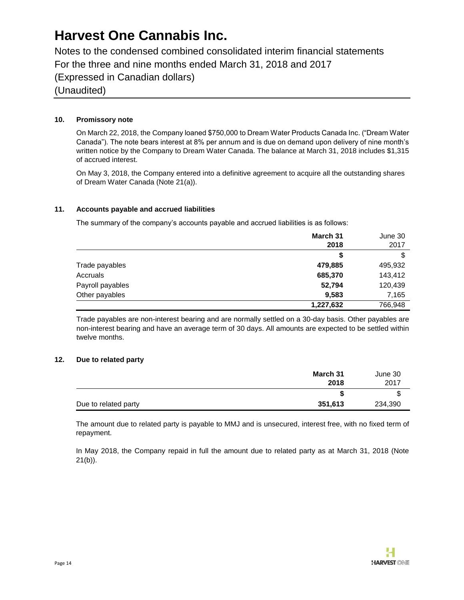Notes to the condensed combined consolidated interim financial statements For the three and nine months ended March 31, 2018 and 2017 (Expressed in Canadian dollars) (Unaudited)

### **10. Promissory note**

On March 22, 2018, the Company loaned \$750,000 to Dream Water Products Canada Inc. ("Dream Water Canada"). The note bears interest at 8% per annum and is due on demand upon delivery of nine month's written notice by the Company to Dream Water Canada. The balance at March 31, 2018 includes \$1,315 of accrued interest.

On May 3, 2018, the Company entered into a definitive agreement to acquire all the outstanding shares of Dream Water Canada (Note 21(a)).

### **11. Accounts payable and accrued liabilities**

The summary of the company's accounts payable and accrued liabilities is as follows:

|                  | March 31<br>2018 | June 30<br>2017 |
|------------------|------------------|-----------------|
|                  | \$               |                 |
| Trade payables   | 479,885          | 495,932         |
| Accruals         | 685,370          | 143,412         |
| Payroll payables | 52,794           | 120,439         |
| Other payables   | 9,583            | 7,165           |
|                  | 1,227,632        | 766,948         |

Trade payables are non-interest bearing and are normally settled on a 30-day basis. Other payables are non-interest bearing and have an average term of 30 days. All amounts are expected to be settled within twelve months.

#### **12. Due to related party**

|                      | March 31 | June 30 |
|----------------------|----------|---------|
|                      | 2018     | 2017    |
|                      |          | J       |
| Due to related party | 351,613  | 234,390 |

The amount due to related party is payable to MMJ and is unsecured, interest free, with no fixed term of repayment.

In May 2018, the Company repaid in full the amount due to related party as at March 31, 2018 (Note  $21(b)$ ).

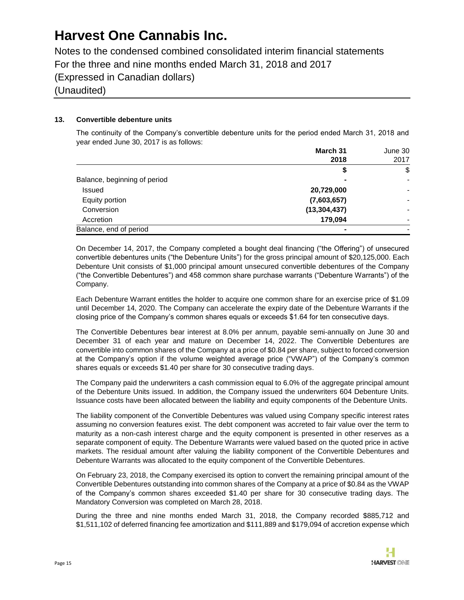Notes to the condensed combined consolidated interim financial statements For the three and nine months ended March 31, 2018 and 2017 (Expressed in Canadian dollars) (Unaudited)

### **13. Convertible debenture units**

The continuity of the Company's convertible debenture units for the period ended March 31, 2018 and year ended June 30, 2017 is as follows:

|                              | March 31       | June 30 |
|------------------------------|----------------|---------|
|                              | 2018           | 2017    |
|                              | \$             | \$      |
| Balance, beginning of period |                |         |
| Issued                       | 20,729,000     |         |
| Equity portion               | (7,603,657)    |         |
| Conversion                   | (13, 304, 437) |         |
| Accretion                    | 179,094        |         |
| Balance, end of period       |                |         |

On December 14, 2017, the Company completed a bought deal financing ("the Offering") of unsecured convertible debentures units ("the Debenture Units") for the gross principal amount of \$20,125,000. Each Debenture Unit consists of \$1,000 principal amount unsecured convertible debentures of the Company ("the Convertible Debentures") and 458 common share purchase warrants ("Debenture Warrants") of the Company.

Each Debenture Warrant entitles the holder to acquire one common share for an exercise price of \$1.09 until December 14, 2020. The Company can accelerate the expiry date of the Debenture Warrants if the closing price of the Company's common shares equals or exceeds \$1.64 for ten consecutive days.

The Convertible Debentures bear interest at 8.0% per annum, payable semi-annually on June 30 and December 31 of each year and mature on December 14, 2022. The Convertible Debentures are convertible into common shares of the Company at a price of \$0.84 per share, subject to forced conversion at the Company's option if the volume weighted average price ("VWAP") of the Company's common shares equals or exceeds \$1.40 per share for 30 consecutive trading days.

The Company paid the underwriters a cash commission equal to 6.0% of the aggregate principal amount of the Debenture Units issued. In addition, the Company issued the underwriters 604 Debenture Units. Issuance costs have been allocated between the liability and equity components of the Debenture Units.

The liability component of the Convertible Debentures was valued using Company specific interest rates assuming no conversion features exist. The debt component was accreted to fair value over the term to maturity as a non-cash interest charge and the equity component is presented in other reserves as a separate component of equity. The Debenture Warrants were valued based on the quoted price in active markets. The residual amount after valuing the liability component of the Convertible Debentures and Debenture Warrants was allocated to the equity component of the Convertible Debentures.

On February 23, 2018, the Company exercised its option to convert the remaining principal amount of the Convertible Debentures outstanding into common shares of the Company at a price of \$0.84 as the VWAP of the Company's common shares exceeded \$1.40 per share for 30 consecutive trading days. The Mandatory Conversion was completed on March 28, 2018.

During the three and nine months ended March 31, 2018, the Company recorded \$885,712 and \$1,511,102 of deferred financing fee amortization and \$111,889 and \$179,094 of accretion expense which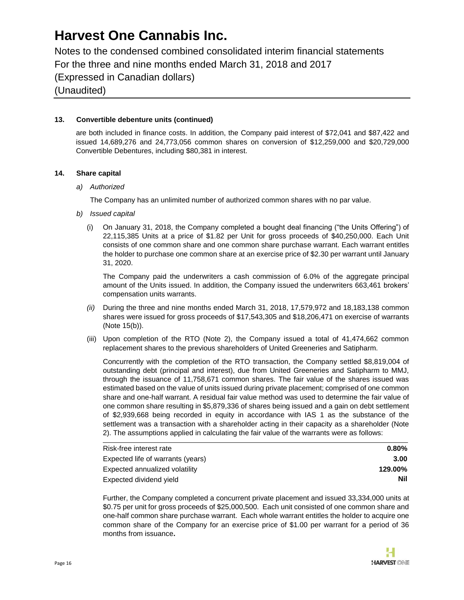Notes to the condensed combined consolidated interim financial statements For the three and nine months ended March 31, 2018 and 2017 (Expressed in Canadian dollars) (Unaudited)

### **13. Convertible debenture units (continued)**

are both included in finance costs. In addition, the Company paid interest of \$72,041 and \$87,422 and issued 14,689,276 and 24,773,056 common shares on conversion of \$12,259,000 and \$20,729,000 Convertible Debentures, including \$80,381 in interest.

### **14. Share capital**

#### *a) Authorized*

The Company has an unlimited number of authorized common shares with no par value.

- *b) Issued capital*
	- (i) On January 31, 2018, the Company completed a bought deal financing ("the Units Offering") of 22,115,385 Units at a price of \$1.82 per Unit for gross proceeds of \$40,250,000. Each Unit consists of one common share and one common share purchase warrant. Each warrant entitles the holder to purchase one common share at an exercise price of \$2.30 per warrant until January 31, 2020.

The Company paid the underwriters a cash commission of 6.0% of the aggregate principal amount of the Units issued. In addition, the Company issued the underwriters 663,461 brokers' compensation units warrants.

- *(ii)* During the three and nine months ended March 31, 2018, 17,579,972 and 18,183,138 common shares were issued for gross proceeds of \$17,543,305 and \$18,206,471 on exercise of warrants (Note 15(b)).
- (iii) Upon completion of the RTO (Note 2), the Company issued a total of 41,474,662 common replacement shares to the previous shareholders of United Greeneries and Satipharm.

Concurrently with the completion of the RTO transaction, the Company settled \$8,819,004 of outstanding debt (principal and interest), due from United Greeneries and Satipharm to MMJ, through the issuance of 11,758,671 common shares. The fair value of the shares issued was estimated based on the value of units issued during private placement; comprised of one common share and one-half warrant. A residual fair value method was used to determine the fair value of one common share resulting in \$5,879,336 of shares being issued and a gain on debt settlement of \$2,939,668 being recorded in equity in accordance with IAS 1 as the substance of the settlement was a transaction with a shareholder acting in their capacity as a shareholder (Note 2). The assumptions applied in calculating the fair value of the warrants were as follows:

| Risk-free interest rate           | $0.80\%$ |
|-----------------------------------|----------|
| Expected life of warrants (years) | 3.00     |
| Expected annualized volatility    | 129.00%  |
| Expected dividend yield           | Nil      |

Further, the Company completed a concurrent private placement and issued 33,334,000 units at \$0.75 per unit for gross proceeds of \$25,000,500. Each unit consisted of one common share and one-half common share purchase warrant. Each whole warrant entitles the holder to acquire one common share of the Company for an exercise price of \$1.00 per warrant for a period of 36 months from issuance**.**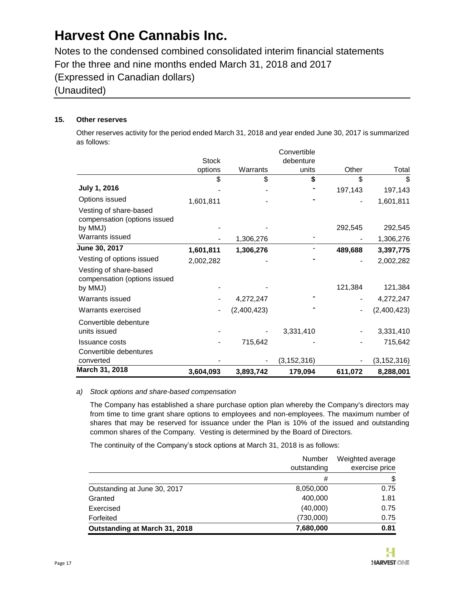Notes to the condensed combined consolidated interim financial statements For the three and nine months ended March 31, 2018 and 2017 (Expressed in Canadian dollars) (Unaudited)

### **15. Other reserves**

Other reserves activity for the period ended March 31, 2018 and year ended June 30, 2017 is summarized as follows:

| March 31, 2018                                                    | 3,604,093    | 3,893,742   | 179,094       | 611,072 | 8,288,001     |
|-------------------------------------------------------------------|--------------|-------------|---------------|---------|---------------|
| converted                                                         |              |             | (3, 152, 316) |         | (3, 152, 316) |
| Convertible debentures                                            |              |             |               |         |               |
| <b>Issuance costs</b>                                             |              | 715,642     |               |         | 715,642       |
| Convertible debenture<br>units issued                             |              |             | 3,331,410     |         | 3,331,410     |
| Warrants exercised                                                |              | (2,400,423) |               |         | (2,400,423)   |
| Warrants issued                                                   |              | 4,272,247   |               |         | 4,272,247     |
| Vesting of share-based<br>compensation (options issued<br>by MMJ) |              |             |               | 121,384 | 121,384       |
| Vesting of options issued                                         | 2,002,282    |             |               |         | 2,002,282     |
| June 30, 2017                                                     | 1,601,811    | 1,306,276   |               | 489,688 | 3,397,775     |
| Warrants issued                                                   |              | 1,306,276   |               |         | 1,306,276     |
| Vesting of share-based<br>compensation (options issued<br>by MMJ) |              |             |               | 292,545 | 292,545       |
| Options issued                                                    | 1,601,811    |             |               |         | 1,601,811     |
| July 1, 2016                                                      |              |             |               | 197,143 | 197,143       |
|                                                                   | \$           | \$          | \$            | \$      | \$            |
|                                                                   | options      | Warrants    | units         | Other   | Total         |
|                                                                   | <b>Stock</b> |             | debenture     |         |               |
|                                                                   |              |             | Convertible   |         |               |

### *a) Stock options and share-based compensation*

The Company has established a share purchase option plan whereby the Company's directors may from time to time grant share options to employees and non-employees. The maximum number of shares that may be reserved for issuance under the Plan is 10% of the issued and outstanding common shares of the Company. Vesting is determined by the Board of Directors.

The continuity of the Company's stock options at March 31, 2018 is as follows:

|                               | Number      | Weighted average |
|-------------------------------|-------------|------------------|
|                               | outstanding | exercise price   |
|                               | #           | \$               |
| Outstanding at June 30, 2017  | 8,050,000   | 0.75             |
| Granted                       | 400,000     | 1.81             |
| Exercised                     | (40,000)    | 0.75             |
| Forfeited                     | (730,000)   | 0.75             |
| Outstanding at March 31, 2018 | 7,680,000   | 0.81             |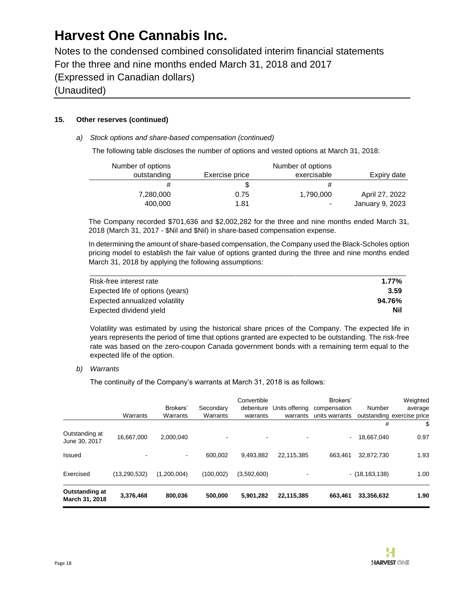Notes to the condensed combined consolidated interim financial statements For the three and nine months ended March 31, 2018 and 2017 (Expressed in Canadian dollars) (Unaudited)

### **15. Other reserves (continued)**

### *a) Stock options and share-based compensation (continued)*

The following table discloses the number of options and vested options at March 31, 2018:

| Number of options |                | Number of options |                 |
|-------------------|----------------|-------------------|-----------------|
| outstanding       | Exercise price | exercisable       | Expiry date     |
| #                 |                |                   |                 |
| 7,280,000         | 0.75           | 1,790,000         | April 27, 2022  |
| 400,000           | 1.81           | $\blacksquare$    | January 9, 2023 |

The Company recorded \$701,636 and \$2,002,282 for the three and nine months ended March 31, 2018 (March 31, 2017 - \$Nil and \$Nil) in share-based compensation expense.

In determining the amount of share-based compensation, the Company used the Black-Scholes option pricing model to establish the fair value of options granted during the three and nine months ended March 31, 2018 by applying the following assumptions:

| Risk-free interest rate          | $1.77\%$ |
|----------------------------------|----------|
| Expected life of options (years) | 3.59     |
| Expected annualized volatility   | 94.76%   |
| Expected dividend yield          | Nil      |

Volatility was estimated by using the historical share prices of the Company. The expected life in years represents the period of time that options granted are expected to be outstanding. The risk-free rate was based on the zero-coupon Canada government bonds with a remaining term equal to the expected life of the option.

#### *b) Warrants*

The continuity of the Company's warrants at March 31, 2018 is as follows:

|                                  | Warrants       | Brokers'<br>Warrants | Secondary<br>Warrants    | Convertible<br>debenture<br>warrants | Units offering<br>warrants | Brokers'<br>compensation<br>units warrants | Number<br>#      | Weighted<br>average<br>outstanding exercise price<br>\$ |
|----------------------------------|----------------|----------------------|--------------------------|--------------------------------------|----------------------------|--------------------------------------------|------------------|---------------------------------------------------------|
| Outstanding at<br>June 30, 2017  | 16,667,000     | 2.000.040            | $\overline{\phantom{0}}$ | $\blacksquare$                       |                            | $\blacksquare$                             | 18.667.040       | 0.97                                                    |
| Issued                           | -              | ۰                    | 600.002                  | 9.493.882                            | 22.115.385                 | 663.461                                    | 32,872,730       | 1.93                                                    |
| Exercised                        | (13, 290, 532) | (1,200,004)          | (100, 002)               | (3,592,600)                          |                            |                                            | $-$ (18,183,138) | 1.00                                                    |
| Outstanding at<br>March 31, 2018 | 3,376,468      | 800.036              | 500,000                  | 5,901,282                            | 22,115,385                 | 663.461                                    | 33,356,632       | 1.90                                                    |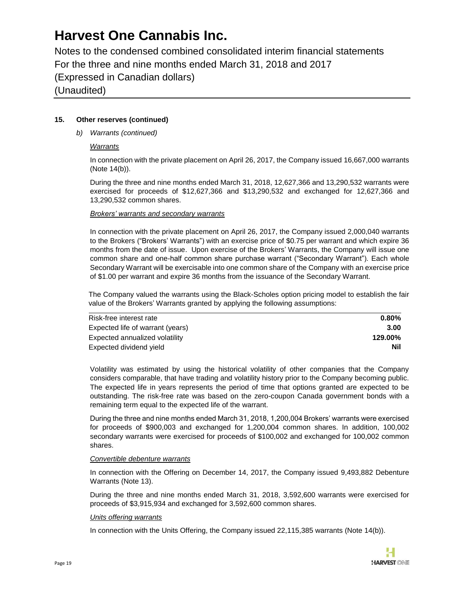Notes to the condensed combined consolidated interim financial statements For the three and nine months ended March 31, 2018 and 2017 (Expressed in Canadian dollars) (Unaudited)

### **15. Other reserves (continued)**

*b) Warrants (continued)*

#### *Warrants*

In connection with the private placement on April 26, 2017, the Company issued 16,667,000 warrants (Note 14(b)).

During the three and nine months ended March 31, 2018, 12,627,366 and 13,290,532 warrants were exercised for proceeds of \$12,627,366 and \$13,290,532 and exchanged for 12,627,366 and 13,290,532 common shares.

#### *Brokers' warrants and secondary warrants*

In connection with the private placement on April 26, 2017, the Company issued 2,000,040 warrants to the Brokers ("Brokers' Warrants") with an exercise price of \$0.75 per warrant and which expire 36 months from the date of issue. Upon exercise of the Brokers' Warrants, the Company will issue one common share and one-half common share purchase warrant ("Secondary Warrant"). Each whole Secondary Warrant will be exercisable into one common share of the Company with an exercise price of \$1.00 per warrant and expire 36 months from the issuance of the Secondary Warrant.

The Company valued the warrants using the Black-Scholes option pricing model to establish the fair value of the Brokers' Warrants granted by applying the following assumptions:

| Risk-free interest rate          | $0.80\%$ |
|----------------------------------|----------|
| Expected life of warrant (years) | 3.00     |
| Expected annualized volatility   | 129.00%  |
| Expected dividend yield          | Nil      |

Volatility was estimated by using the historical volatility of other companies that the Company considers comparable, that have trading and volatility history prior to the Company becoming public. The expected life in years represents the period of time that options granted are expected to be outstanding. The risk-free rate was based on the zero-coupon Canada government bonds with a remaining term equal to the expected life of the warrant.

During the three and nine months ended March 31, 2018, 1,200,004 Brokers' warrants were exercised for proceeds of \$900,003 and exchanged for 1,200,004 common shares. In addition, 100,002 secondary warrants were exercised for proceeds of \$100,002 and exchanged for 100,002 common shares.

#### *Convertible debenture warrants*

In connection with the Offering on December 14, 2017, the Company issued 9,493,882 Debenture Warrants (Note 13).

During the three and nine months ended March 31, 2018, 3,592,600 warrants were exercised for proceeds of \$3,915,934 and exchanged for 3,592,600 common shares.

#### *Units offering warrants*

In connection with the Units Offering, the Company issued 22,115,385 warrants (Note 14(b)).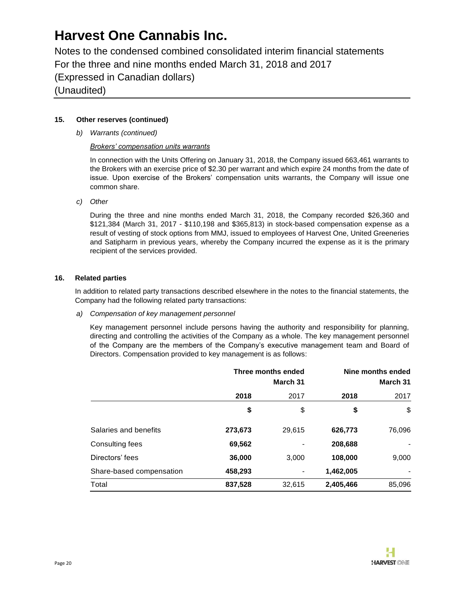Notes to the condensed combined consolidated interim financial statements For the three and nine months ended March 31, 2018 and 2017 (Expressed in Canadian dollars) (Unaudited)

### **15. Other reserves (continued)**

*b) Warrants (continued)*

### *Brokers' compensation units warrants*

In connection with the Units Offering on January 31, 2018, the Company issued 663,461 warrants to the Brokers with an exercise price of \$2.30 per warrant and which expire 24 months from the date of issue. Upon exercise of the Brokers' compensation units warrants, the Company will issue one common share.

*c) Other*

During the three and nine months ended March 31, 2018, the Company recorded \$26,360 and \$121,384 (March 31, 2017 - \$110,198 and \$365,813) in stock-based compensation expense as a result of vesting of stock options from MMJ, issued to employees of Harvest One, United Greeneries and Satipharm in previous years, whereby the Company incurred the expense as it is the primary recipient of the services provided.

### **16. Related parties**

In addition to related party transactions described elsewhere in the notes to the financial statements, the Company had the following related party transactions:

*a) Compensation of key management personnel*

Key management personnel include persons having the authority and responsibility for planning, directing and controlling the activities of the Company as a whole. The key management personnel of the Company are the members of the Company's executive management team and Board of Directors. Compensation provided to key management is as follows:

|                          | Three months ended<br>March 31 |        |           | Nine months ended<br>March 31 |  |
|--------------------------|--------------------------------|--------|-----------|-------------------------------|--|
|                          | 2018<br>2017                   |        | 2018      | 2017                          |  |
|                          | \$                             | \$     | \$        | \$                            |  |
| Salaries and benefits    | 273,673                        | 29,615 | 626,773   | 76,096                        |  |
| Consulting fees          | 69,562                         |        | 208,688   |                               |  |
| Directors' fees          | 36,000                         | 3,000  | 108,000   | 9,000                         |  |
| Share-based compensation | 458,293                        |        | 1,462,005 |                               |  |
| Total                    | 837,528                        | 32,615 | 2,405,466 | 85,096                        |  |

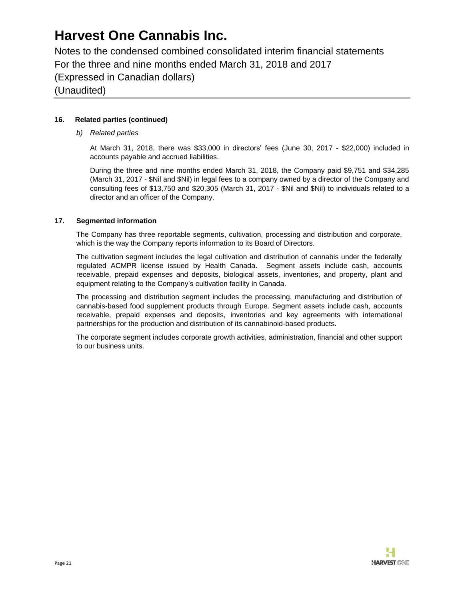Notes to the condensed combined consolidated interim financial statements For the three and nine months ended March 31, 2018 and 2017 (Expressed in Canadian dollars) (Unaudited)

### **16. Related parties (continued)**

*b) Related parties*

At March 31, 2018, there was \$33,000 in directors' fees (June 30, 2017 - \$22,000) included in accounts payable and accrued liabilities.

During the three and nine months ended March 31, 2018, the Company paid \$9,751 and \$34,285 (March 31, 2017 - \$Nil and \$Nil) in legal fees to a company owned by a director of the Company and consulting fees of \$13,750 and \$20,305 (March 31, 2017 - \$Nil and \$Nil) to individuals related to a director and an officer of the Company.

### **17. Segmented information**

The Company has three reportable segments, cultivation, processing and distribution and corporate, which is the way the Company reports information to its Board of Directors.

The cultivation segment includes the legal cultivation and distribution of cannabis under the federally regulated ACMPR license issued by Health Canada. Segment assets include cash, accounts receivable, prepaid expenses and deposits, biological assets, inventories, and property, plant and equipment relating to the Company's cultivation facility in Canada.

The processing and distribution segment includes the processing, manufacturing and distribution of cannabis-based food supplement products through Europe. Segment assets include cash, accounts receivable, prepaid expenses and deposits, inventories and key agreements with international partnerships for the production and distribution of its cannabinoid-based products.

The corporate segment includes corporate growth activities, administration, financial and other support to our business units.

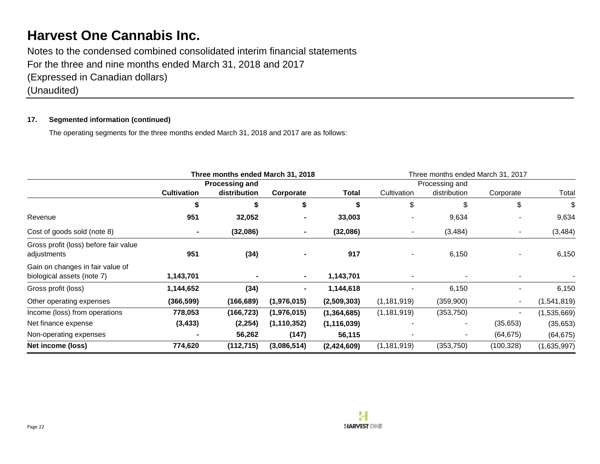Notes to the condensed combined consolidated interim financial statements For the three and nine months ended March 31, 2018 and 2017 (Expressed in Canadian dollars) (Unaudited)

### **17. Segmented information (continued)**

The operating segments for the three months ended March 31, 2018 and 2017 are as follows:

|                                                                | Three months ended March 31, 2018 |              |               | Three months ended March 31, 2017 |                |              |            |             |
|----------------------------------------------------------------|-----------------------------------|--------------|---------------|-----------------------------------|----------------|--------------|------------|-------------|
|                                                                | <b>Processing and</b>             |              |               |                                   | Processing and |              |            |             |
|                                                                | <b>Cultivation</b>                | distribution | Corporate     | Total                             | Cultivation    | distribution | Corporate  | Total       |
|                                                                |                                   | \$           | \$            | S                                 | \$             | \$           | \$         | \$          |
| Revenue                                                        | 951                               | 32,052       |               | 33,003                            |                | 9,634        |            | 9,634       |
| Cost of goods sold (note 8)                                    |                                   | (32,086)     |               | (32,086)                          | $\blacksquare$ | (3, 484)     |            | (3, 484)    |
| Gross profit (loss) before fair value<br>adjustments           | 951                               | (34)         |               | 917                               | $\blacksquare$ | 6,150        |            | 6,150       |
| Gain on changes in fair value of<br>biological assets (note 7) | 1,143,701                         |              |               | 1,143,701                         | $\blacksquare$ |              |            |             |
| Gross profit (loss)                                            | 1,144,652                         | (34)         |               | 1,144,618                         |                | 6,150        |            | 6,150       |
| Other operating expenses                                       | (366, 599)                        | (166, 689)   | (1,976,015)   | (2,509,303)                       | (1, 181, 919)  | (359,900)    |            | (1,541,819) |
| Income (loss) from operations                                  | 778,053                           | (166, 723)   | (1,976,015)   | (1, 364, 685)                     | (1, 181, 919)  | (353, 750)   |            | (1,535,669) |
| Net finance expense                                            | (3, 433)                          | (2, 254)     | (1, 110, 352) | (1, 116, 039)                     |                |              | (35, 653)  | (35, 653)   |
| Non-operating expenses                                         |                                   | 56,262       | (147)         | 56,115                            |                |              | (64, 675)  | (64, 675)   |
| Net income (loss)                                              | 774,620                           | (112,715)    | (3,086,514)   | (2,424,609)                       | (1, 181, 919)  | (353, 750)   | (100, 328) | (1,635,997) |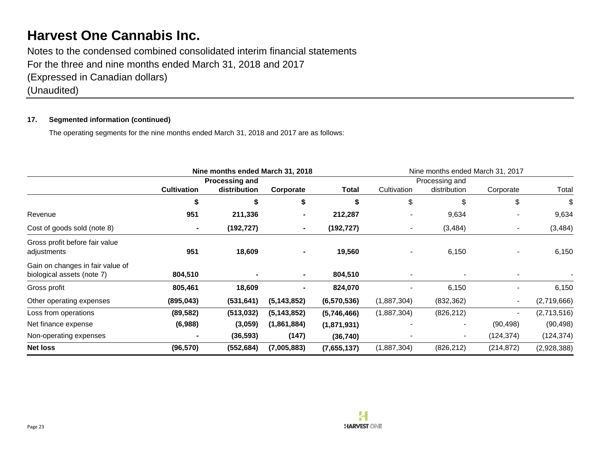Notes to the condensed combined consolidated interim financial statements For the three and nine months ended March 31, 2018 and 2017 (Expressed in Canadian dollars) (Unaudited)

### **17. Segmented information (continued)**

The operating segments for the nine months ended March 31, 2018 and 2017 are as follows:

|                                                                | Nine months ended March 31, 2018 |                |               |             | Nine months ended March 31, 2017 |              |            |             |
|----------------------------------------------------------------|----------------------------------|----------------|---------------|-------------|----------------------------------|--------------|------------|-------------|
|                                                                | Processing and                   |                |               |             | Processing and                   |              |            |             |
|                                                                | <b>Cultivation</b>               | distribution   | Corporate     | Total       | Cultivation                      | distribution | Corporate  | Total       |
|                                                                | \$                               | \$             | \$            | \$          | \$                               | \$           | \$         | \$          |
| Revenue                                                        | 951                              | 211,336        |               | 212,287     |                                  | 9,634        |            | 9,634       |
| Cost of goods sold (note 8)                                    |                                  | (192, 727)     |               | (192, 727)  | $\blacksquare$                   | (3, 484)     |            | (3, 484)    |
| Gross profit before fair value<br>adjustments                  | 951                              | 18,609         | ٠             | 19,560      |                                  | 6,150        |            | 6,150       |
| Gain on changes in fair value of<br>biological assets (note 7) | 804,510                          | $\blacksquare$ | ۰.            | 804,510     | $\blacksquare$                   |              |            |             |
| Gross profit                                                   | 805,461                          | 18,609         |               | 824,070     |                                  | 6,150        |            | 6,150       |
| Other operating expenses                                       | (895, 043)                       | (531, 641)     | (5, 143, 852) | (6,570,536) | (1,887,304)                      | (832, 362)   |            | (2,719,666) |
| Loss from operations                                           | (89, 582)                        | (513, 032)     | (5, 143, 852) | (5,746,466) | (1,887,304)                      | (826, 212)   |            | (2,713,516) |
| Net finance expense                                            | (6,988)                          | (3,059)        | (1,861,884)   | (1,871,931) |                                  |              | (90, 498)  | (90, 498)   |
| Non-operating expenses                                         |                                  | (36, 593)      | (147)         | (36, 740)   |                                  |              | (124, 374) | (124, 374)  |
| <b>Net loss</b>                                                | (96, 570)                        | (552, 684)     | (7,005,883)   | (7,655,137) | (1,887,304)                      | (826, 212)   | (214, 872) | (2,928,388) |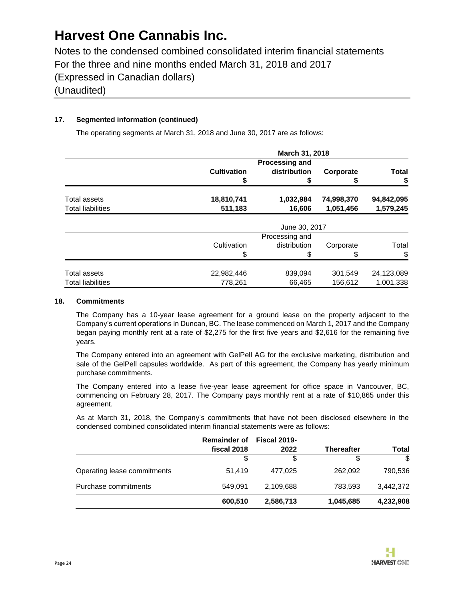Notes to the condensed combined consolidated interim financial statements For the three and nine months ended March 31, 2018 and 2017 (Expressed in Canadian dollars) (Unaudited)

### **17. Segmented information (continued)**

The operating segments at March 31, 2018 and June 30, 2017 are as follows:

|                          | March 31, 2018        |                |            |              |  |  |  |
|--------------------------|-----------------------|----------------|------------|--------------|--|--|--|
|                          | <b>Processing and</b> |                |            |              |  |  |  |
|                          | <b>Cultivation</b>    | distribution   | Corporate  | <b>Total</b> |  |  |  |
|                          |                       |                |            | \$           |  |  |  |
| Total assets             | 18,810,741            | 1,032,984      | 74,998,370 | 94,842,095   |  |  |  |
| <b>Total liabilities</b> | 511,183               | 16,606         | 1,051,456  | 1,579,245    |  |  |  |
|                          | June 30, 2017         |                |            |              |  |  |  |
|                          |                       | Processing and |            |              |  |  |  |
|                          | Cultivation           | distribution   | Corporate  | Total        |  |  |  |
|                          | \$                    |                |            | \$           |  |  |  |
| Total assets             | 22,982,446            | 839,094        | 301,549    | 24,123,089   |  |  |  |
| <b>Total liabilities</b> | 778,261               | 66,465         | 156,612    | 1,001,338    |  |  |  |

#### **18. Commitments**

The Company has a 10-year lease agreement for a ground lease on the property adjacent to the Company's current operations in Duncan, BC. The lease commenced on March 1, 2017 and the Company began paying monthly rent at a rate of \$2,275 for the first five years and \$2,616 for the remaining five years.

The Company entered into an agreement with GelPell AG for the exclusive marketing, distribution and sale of the GelPell capsules worldwide. As part of this agreement, the Company has yearly minimum purchase commitments.

The Company entered into a lease five-year lease agreement for office space in Vancouver, BC, commencing on February 28, 2017. The Company pays monthly rent at a rate of \$10,865 under this agreement.

As at March 31, 2018, the Company's commitments that have not been disclosed elsewhere in the condensed combined consolidated interim financial statements were as follows:

|                             | <b>Remainder of</b><br>fiscal 2018 | <b>Fiscal 2019-</b><br>2022 | <b>Thereafter</b> | Total     |
|-----------------------------|------------------------------------|-----------------------------|-------------------|-----------|
|                             | S                                  | \$                          | S                 | \$        |
| Operating lease commitments | 51,419                             | 477.025                     | 262.092           | 790.536   |
| Purchase commitments        | 549.091                            | 2,109,688                   | 783,593           | 3,442,372 |
|                             | 600,510                            | 2,586,713                   | 1,045,685         | 4,232,908 |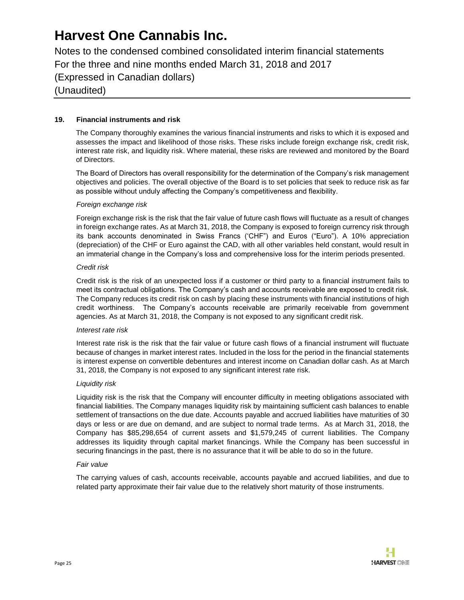Notes to the condensed combined consolidated interim financial statements For the three and nine months ended March 31, 2018 and 2017 (Expressed in Canadian dollars) (Unaudited)

### **19. Financial instruments and risk**

The Company thoroughly examines the various financial instruments and risks to which it is exposed and assesses the impact and likelihood of those risks. These risks include foreign exchange risk, credit risk, interest rate risk, and liquidity risk. Where material, these risks are reviewed and monitored by the Board of Directors.

The Board of Directors has overall responsibility for the determination of the Company's risk management objectives and policies. The overall objective of the Board is to set policies that seek to reduce risk as far as possible without unduly affecting the Company's competitiveness and flexibility.

#### *Foreign exchange risk*

Foreign exchange risk is the risk that the fair value of future cash flows will fluctuate as a result of changes in foreign exchange rates. As at March 31, 2018, the Company is exposed to foreign currency risk through its bank accounts denominated in Swiss Francs ('CHF") and Euros ("Euro"). A 10% appreciation (depreciation) of the CHF or Euro against the CAD, with all other variables held constant, would result in an immaterial change in the Company's loss and comprehensive loss for the interim periods presented.

#### *Credit risk*

Credit risk is the risk of an unexpected loss if a customer or third party to a financial instrument fails to meet its contractual obligations. The Company's cash and accounts receivable are exposed to credit risk. The Company reduces its credit risk on cash by placing these instruments with financial institutions of high credit worthiness. The Company's accounts receivable are primarily receivable from government agencies. As at March 31, 2018, the Company is not exposed to any significant credit risk.

#### *Interest rate risk*

Interest rate risk is the risk that the fair value or future cash flows of a financial instrument will fluctuate because of changes in market interest rates. Included in the loss for the period in the financial statements is interest expense on convertible debentures and interest income on Canadian dollar cash. As at March 31, 2018, the Company is not exposed to any significant interest rate risk.

#### *Liquidity risk*

Liquidity risk is the risk that the Company will encounter difficulty in meeting obligations associated with financial liabilities. The Company manages liquidity risk by maintaining sufficient cash balances to enable settlement of transactions on the due date. Accounts payable and accrued liabilities have maturities of 30 days or less or are due on demand, and are subject to normal trade terms. As at March 31, 2018, the Company has \$85,298,654 of current assets and \$1,579,245 of current liabilities. The Company addresses its liquidity through capital market financings. While the Company has been successful in securing financings in the past, there is no assurance that it will be able to do so in the future.

#### *Fair value*

The carrying values of cash, accounts receivable, accounts payable and accrued liabilities, and due to related party approximate their fair value due to the relatively short maturity of those instruments.